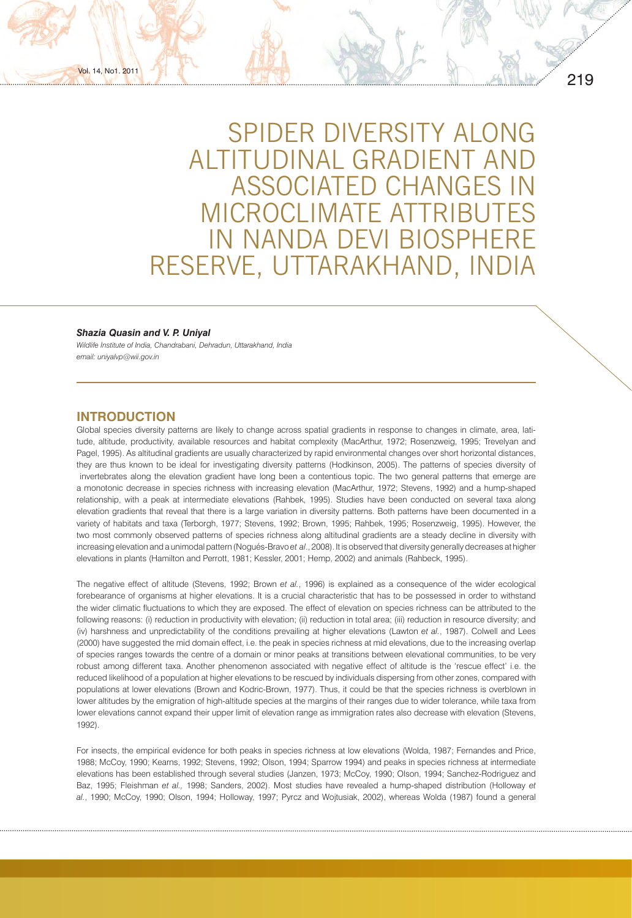SPIDER DIVERSITY ALONG ALTITUDINAL GRADIENT AND ASSOCIATED CHANGES IN MICROCLIMATE ATTRIBUTES IN NANDA DEVI BIOSPHERE RESERVE, UTTARAKHAND, INDIA

### *Shazia Quasin and V. P. Uniyal*

*Wildlife Institute of India, Chandrabani, Dehradun, Uttarakhand, India email: uniyalvp@wii.gov.in*

# **INTRODUCTION**

Vol. 14, No1. 2011

Global species diversity patterns are likely to change across spatial gradients in response to changes in climate, area, latitude, altitude, productivity, available resources and habitat complexity (MacArthur, 1972; Rosenzweig, 1995; Trevelyan and Pagel, 1995). As altitudinal gradients are usually characterized by rapid environmental changes over short horizontal distances, they are thus known to be ideal for investigating diversity patterns (Hodkinson, 2005). The patterns of species diversity of invertebrates along the elevation gradient have long been a contentious topic. The two general patterns that emerge are a monotonic decrease in species richness with increasing elevation (MacArthur, 1972; Stevens, 1992) and a hump-shaped relationship, with a peak at intermediate elevations (Rahbek, 1995). Studies have been conducted on several taxa along elevation gradients that reveal that there is a large variation in diversity patterns. Both patterns have been documented in a variety of habitats and taxa (Terborgh, 1977; Stevens, 1992; Brown, 1995; Rahbek, 1995; Rosenzweig, 1995). However, the two most commonly observed patterns of species richness along altitudinal gradients are a steady decline in diversity with increasing elevation and a unimodal pattern (Nogués-Bravo *et al*., 2008). It is observed that diversity generally decreases at higher elevations in plants (Hamilton and Perrott, 1981; Kessler, 2001; Hemp, 2002) and animals (Rahbeck, 1995).

The negative effect of altitude (Stevens, 1992; Brown *et al.*, 1996) is explained as a consequence of the wider ecological forebearance of organisms at higher elevations. It is a crucial characteristic that has to be possessed in order to withstand the wider climatic fluctuations to which they are exposed. The effect of elevation on species richness can be attributed to the following reasons: (i) reduction in productivity with elevation; (ii) reduction in total area; (iii) reduction in resource diversity; and (iv) harshness and unpredictability of the conditions prevailing at higher elevations (Lawton *et al.*, 1987). Colwell and Lees (2000) have suggested the mid domain effect, i.e. the peak in species richness at mid elevations, due to the increasing overlap of species ranges towards the centre of a domain or minor peaks at transitions between elevational communities, to be very robust among different taxa. Another phenomenon associated with negative effect of altitude is the 'rescue effect' i.e. the reduced likelihood of a population at higher elevations to be rescued by individuals dispersing from other zones, compared with populations at lower elevations (Brown and Kodric-Brown, 1977). Thus, it could be that the species richness is overblown in lower altitudes by the emigration of high-altitude species at the margins of their ranges due to wider tolerance, while taxa from lower elevations cannot expand their upper limit of elevation range as immigration rates also decrease with elevation (Stevens, 1992).

For insects, the empirical evidence for both peaks in species richness at low elevations (Wolda, 1987; Fernandes and Price, 1988; McCoy, 1990; Kearns, 1992; Stevens, 1992; Olson, 1994; Sparrow 1994) and peaks in species richness at intermediate elevations has been established through several studies (Janzen, 1973; McCoy, 1990; Olson, 1994; Sanchez-Rodriguez and Baz, 1995; Fleishman *et al.,* 1998; Sanders, 2002). Most studies have revealed a hump-shaped distribution (Holloway *et al.*, 1990; McCoy, 1990; Olson, 1994; Holloway, 1997; Pyrcz and Wojtusiak, 2002), whereas Wolda (1987) found a general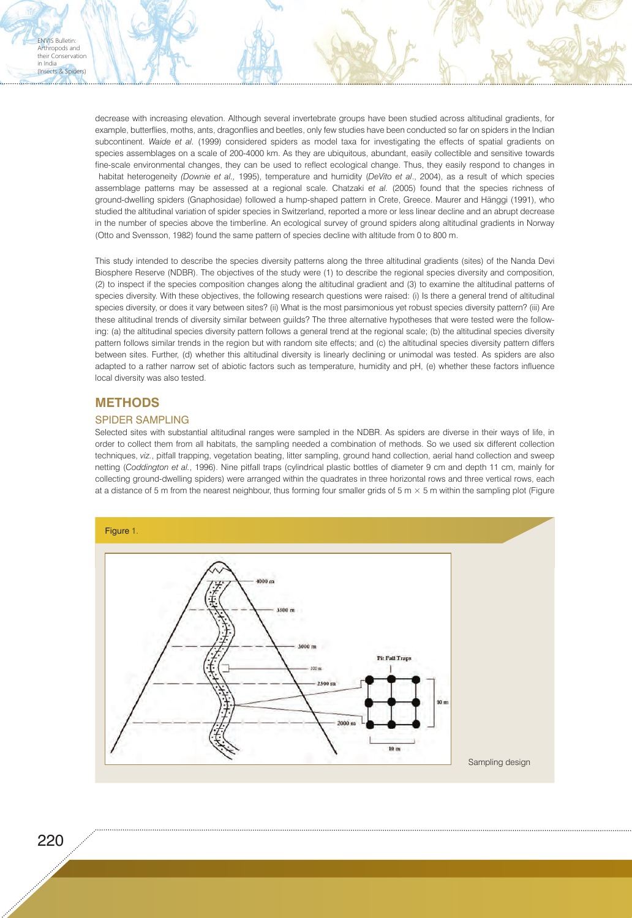decrease with increasing elevation. Although several invertebrate groups have been studied across altitudinal gradients, for example, butterflies, moths, ants, dragonflies and beetles, only few studies have been conducted so far on spiders in the Indian subcontinent. *Waide et al.* (1999) considered spiders as model taxa for investigating the effects of spatial gradients on species assemblages on a scale of 200-4000 km. As they are ubiquitous, abundant, easily collectible and sensitive towards fine-scale environmental changes, they can be used to reflect ecological change. Thus, they easily respond to changes in habitat heterogeneity *(Downie et al.,* 1995), temperature and humidity (*DeVito et al*., 2004), as a result of which species assemblage patterns may be assessed at a regional scale. Chatzaki *et al.* (2005) found that the species richness of ground-dwelling spiders (Gnaphosidae) followed a hump-shaped pattern in Crete, Greece. Maurer and Hänggi (1991), who studied the altitudinal variation of spider species in Switzerland, reported a more or less linear decline and an abrupt decrease in the number of species above the timberline. An ecological survey of ground spiders along altitudinal gradients in Norway (Otto and Svensson, 1982) found the same pattern of species decline with altitude from 0 to 800 m.

This study intended to describe the species diversity patterns along the three altitudinal gradients (sites) of the Nanda Devi Biosphere Reserve (NDBR). The objectives of the study were (1) to describe the regional species diversity and composition, (2) to inspect if the species composition changes along the altitudinal gradient and (3) to examine the altitudinal patterns of species diversity. With these objectives, the following research questions were raised: (i) Is there a general trend of altitudinal species diversity, or does it vary between sites? (ii) What is the most parsimonious yet robust species diversity pattern? (iii) Are these altitudinal trends of diversity similar between guilds? The three alternative hypotheses that were tested were the following: (a) the altitudinal species diversity pattern follows a general trend at the regional scale; (b) the altitudinal species diversity pattern follows similar trends in the region but with random site effects; and (c) the altitudinal species diversity pattern differs between sites. Further, (d) whether this altitudinal diversity is linearly declining or unimodal was tested. As spiders are also adapted to a rather narrow set of abiotic factors such as temperature, humidity and pH, (e) whether these factors influence local diversity was also tested.

# **METHODS**

ENVIS Bulletin: Arthropods and their Conservation in India (Insects & Spiders)

### SPIDER SAMPLING

Selected sites with substantial altitudinal ranges were sampled in the NDBR. As spiders are diverse in their ways of life, in order to collect them from all habitats, the sampling needed a combination of methods. So we used six different collection techniques, *viz.*, pitfall trapping, vegetation beating, litter sampling, ground hand collection, aerial hand collection and sweep netting (*Coddington et al.*, 1996). Nine pitfall traps (cylindrical plastic bottles of diameter 9 cm and depth 11 cm, mainly for collecting ground-dwelling spiders) were arranged within the quadrates in three horizontal rows and three vertical rows, each at a distance of 5 m from the nearest neighbour, thus forming four smaller grids of 5 m  $\times$  5 m within the sampling plot (Figure

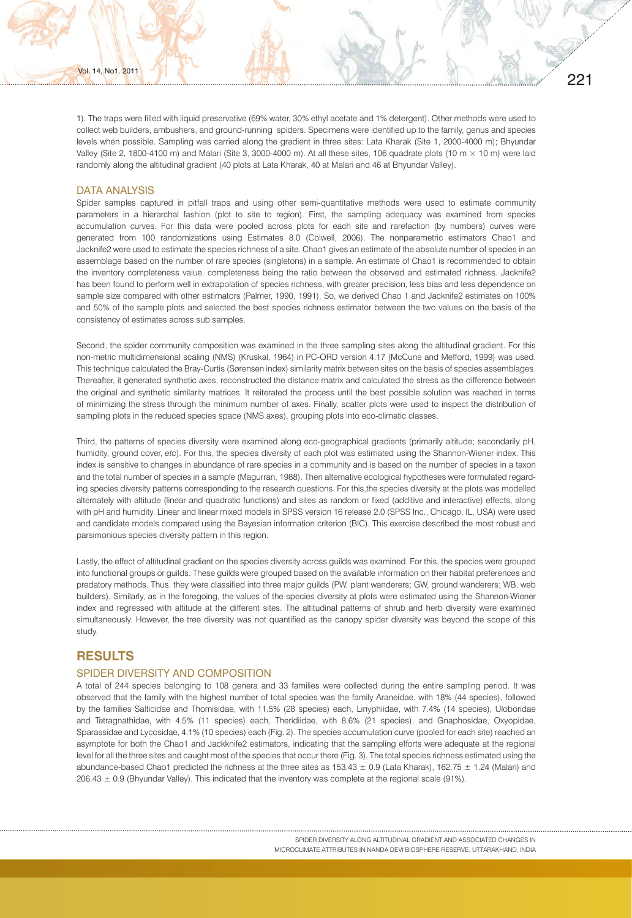221

### DATA ANALYSIS

Vol. 14, No1. 2011

. . . . . . . . . . . . . . . . . .

Spider samples captured in pitfall traps and using other semi-quantitative methods were used to estimate community parameters in a hierarchal fashion (plot to site to region). First, the sampling adequacy was examined from species accumulation curves. For this data were pooled across plots for each site and rarefaction (by numbers) curves were generated from 100 randomizations using Estimates 8.0 (Colwell, 2006). The nonparametric estimators Chao1 and Jacknife2 were used to estimate the species richness of a site. Chao1 gives an estimate of the absolute number of species in an assemblage based on the number of rare species (singletons) in a sample. An estimate of Chao1 is recommended to obtain the inventory completeness value, completeness being the ratio between the observed and estimated richness. Jacknife2 has been found to perform well in extrapolation of species richness, with greater precision, less bias and less dependence on sample size compared with other estimators (Palmer, 1990, 1991). So, we derived Chao 1 and Jacknife2 estimates on 100% and 50% of the sample plots and selected the best species richness estimator between the two values on the basis of the consistency of estimates across sub samples.

Second, the spider community composition was examined in the three sampling sites along the altitudinal gradient. For this non-metric multidimensional scaling (NMS) (Kruskal, 1964) in PC-ORD version 4.17 (McCune and Mefford, 1999) was used. This technique calculated the Bray-Curtis (Sørensen index) similarity matrix between sites on the basis of species assemblages. Thereafter, it generated synthetic axes, reconstructed the distance matrix and calculated the stress as the difference between the original and synthetic similarity matrices. It reiterated the process until the best possible solution was reached in terms of minimizing the stress through the minimum number of axes. Finally, scatter plots were used to inspect the distribution of sampling plots in the reduced species space (NMS axes), grouping plots into eco-climatic classes.

Third, the patterns of species diversity were examined along eco-geographical gradients (primarily altitude; secondarily pH, humidity, ground cover, *etc*). For this, the species diversity of each plot was estimated using the Shannon-Wiener index. This index is sensitive to changes in abundance of rare species in a community and is based on the number of species in a taxon and the total number of species in a sample (Magurran, 1988). Then alternative ecological hypotheses were formulated regarding species diversity patterns corresponding to the research questions. For this,the species diversity at the plots was modelled alternately with altitude (linear and quadratic functions) and sites as random or fixed (additive and interactive) effects, along with pH and humidity. Linear and linear mixed models in SPSS version 16 release 2.0 (SPSS Inc., Chicago, IL, USA) were used and candidate models compared using the Bayesian information criterion (BIC). This exercise described the most robust and parsimonious species diversity pattern in this region.

Lastly, the effect of altitudinal gradient on the species diversity across guilds was examined. For this, the species were grouped into functional groups or guilds. These guilds were grouped based on the available information on their habitat preferences and predatory methods. Thus, they were classified into three major guilds (PW, plant wanderers; GW, ground wanderers; WB, web builders). Similarly, as in the foregoing, the values of the species diversity at plots were estimated using the Shannon-Wiener index and regressed with altitude at the different sites. The altitudinal patterns of shrub and herb diversity were examined simultaneously. However, the tree diversity was not quantified as the canopy spider diversity was beyond the scope of this study.

# **RESULTS**

### SPIDER DIVERSITY AND COMPOSITION

A total of 244 species belonging to 108 genera and 33 families were collected during the entire sampling period. It was observed that the family with the highest number of total species was the family Araneidae, with 18% (44 species), followed by the families Salticidae and Thomisidae, with 11.5% (28 species) each, Linyphiidae, with 7.4% (14 species), Uloboridae and Tetragnathidae, with 4.5% (11 species) each, Theridiidae, with 8.6% (21 species), and Gnaphosidae, Oxyopidae, Sparassidae and Lycosidae, 4.1% (10 species) each (Fig. 2). The species accumulation curve (pooled for each site) reached an asymptote for both the Chao1 and Jackknife2 estimators, indicating that the sampling efforts were adequate at the regional level for all the three sites and caught most of the species that occur there (Fig. 3). The total species richness estimated using the abundance-based Chao1 predicted the richness at the three sites as  $153.43 \pm 0.9$  (Lata Kharak),  $162.75 \pm 1.24$  (Malari) and 206.43 ± 0.9 (Bhyundar Valley). This indicated that the inventory was complete at the regional scale (91%).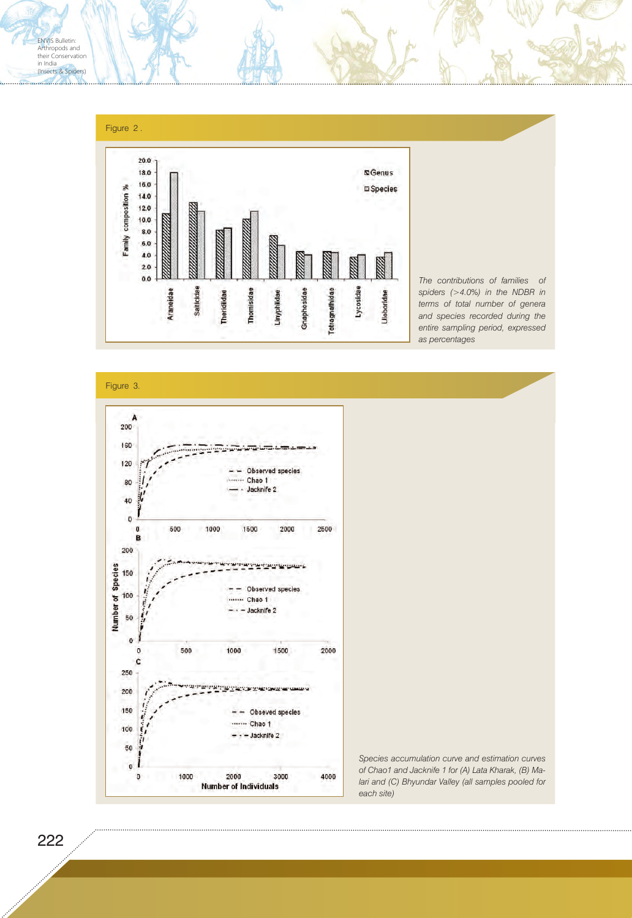

*The contributions of families of spiders (>4.0%) in the NDBR in terms of total number of genera and species recorded during the entire sampling period, expressed as percentages*

Figure 3.



*Species accumulation curve and estimation curves of Chao1 and Jacknife 1 for (A) Lata Kharak, (B) Malari and (C) Bhyundar Valley (all samples pooled for each site)*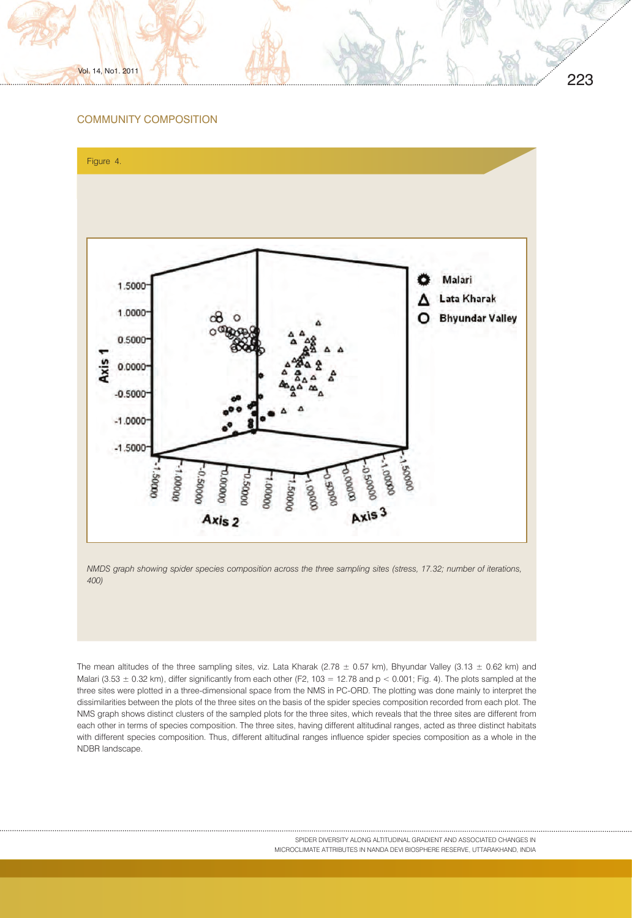# COMMUNITY COMPOSITION

Vol. 14, No1. 2011



*NMDS graph showing spider species composition across the three sampling sites (stress, 17.32; number of iterations, 400)*

The mean altitudes of the three sampling sites, viz. Lata Kharak (2.78  $\pm$  0.57 km), Bhyundar Valley (3.13  $\pm$  0.62 km) and Malari (3.53  $\pm$  0.32 km), differ significantly from each other (F2, 103 = 12.78 and p < 0.001; Fig. 4). The plots sampled at the three sites were plotted in a three-dimensional space from the NMS in PC-ORD. The plotting was done mainly to interpret the dissimilarities between the plots of the three sites on the basis of the spider species composition recorded from each plot. The NMS graph shows distinct clusters of the sampled plots for the three sites, which reveals that the three sites are different from each other in terms of species composition. The three sites, having different altitudinal ranges, acted as three distinct habitats with different species composition. Thus, different altitudinal ranges influence spider species composition as a whole in the NDBR landscape.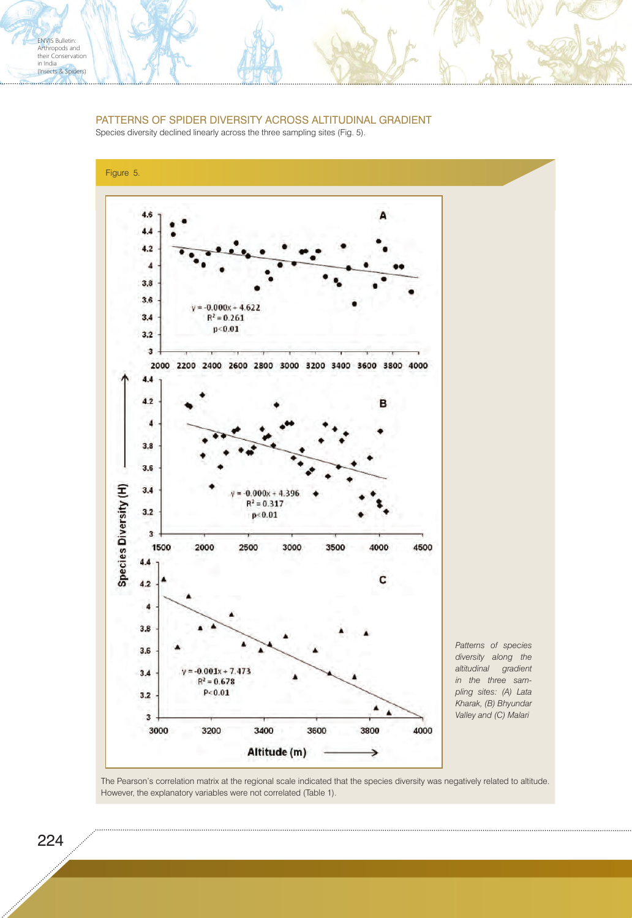# PATTERNS OF SPIDER DIVERSITY ACROSS ALTITUDINAL GRADIENT

Species diversity declined linearly across the three sampling sites (Fig. 5).



The Pearson's correlation matrix at the regional scale indicated that the species diversity was negatively related to altitude. However, the explanatory variables were not correlated (Table 1).

ENVIS Bulletin: Arthropods and their Conservation in India<br>(Insects & Spiders)

<u>manual della</u>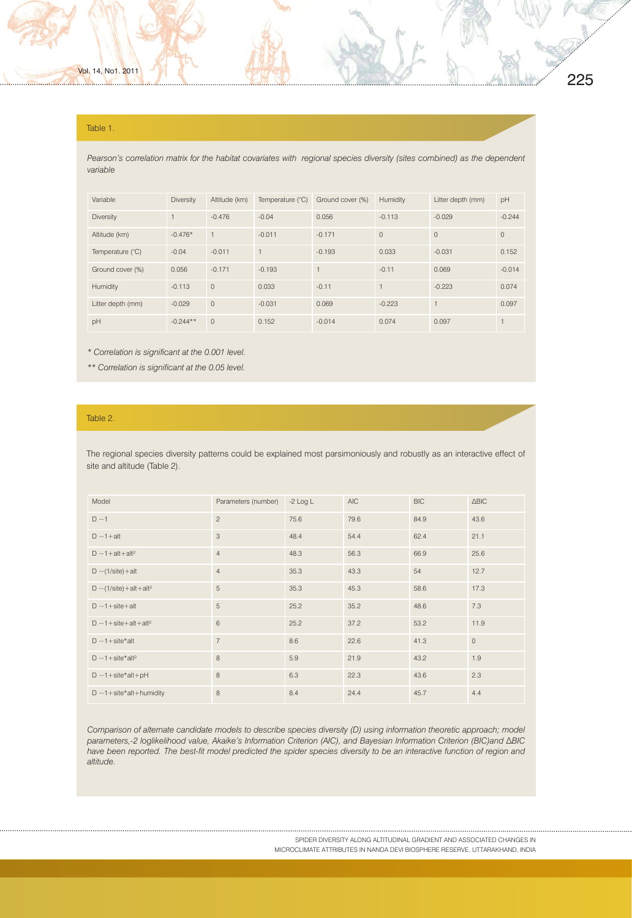# 225

#### Table 1.

Pearson's correlation matrix for the habitat covariates with regional species diversity (sites combined) as the dependent *variable*

| Variable          | <b>Diversity</b> | Altitude (km)  | Temperature (°C) | Ground cover (%) | Humidity       | Litter depth (mm) | pH       |
|-------------------|------------------|----------------|------------------|------------------|----------------|-------------------|----------|
| <b>Diversity</b>  | $\overline{1}$   | $-0.476$       | $-0.04$          | 0.056            | $-0.113$       | $-0.029$          | $-0.244$ |
| Altitude (km)     | $-0.476*$        | $\overline{1}$ | $-0.011$         | $-0.171$         | $\circ$        | $\Omega$          | $\Omega$ |
| Temperature (°C)  | $-0.04$          | $-0.011$       | 1                | $-0.193$         | 0.033          | $-0.031$          | 0.152    |
| Ground cover (%)  | 0.056            | $-0.171$       | $-0.193$         |                  | $-0.11$        | 0.069             | $-0.014$ |
| Humidity          | $-0.113$         | $\circ$        | 0.033            | $-0.11$          | $\overline{1}$ | $-0.223$          | 0.074    |
| Litter depth (mm) | $-0.029$         | $\overline{0}$ | $-0.031$         | 0.069            | $-0.223$       |                   | 0.097    |
| pH                | $-0.244**$       | $\overline{0}$ | 0.152            | $-0.014$         | 0.074          | 0.097             |          |

*\* Correlation is significant at the 0.001 level.*

*\*\* Correlation is significant at the 0.05 level.*

# Table 2.

The regional species diversity patterns could be explained most parsimoniously and robustly as an interactive effect of site and altitude (Table 2).

| Model                                                | Parameters (number) | $-2$ Log L | <b>AIC</b> | <b>BIC</b> | $\triangle BIC$ |
|------------------------------------------------------|---------------------|------------|------------|------------|-----------------|
| $D \sim 1$                                           | $\overline{c}$      | 75.6       | 79.6       | 84.9       | 43.6            |
| $D \sim 1 + alt$                                     | 3                   | 48.4       | 54.4       | 62.4       | 21.1            |
| $D \sim 1 + alt + alt^2$                             | $\overline{4}$      | 48.3       | 56.3       | 66.9       | 25.6            |
| $D \sim (1/site) + alt$                              | $\overline{4}$      | 35.3       | 43.3       | 54         | 12.7            |
| $D \sim (1/site) + alt + alt^2$                      | 5                   | 35.3       | 45.3       | 58.6       | 17.3            |
| $D \sim 1 + \text{site} + \text{alt}$                | 5                   | 25.2       | 35.2       | 48.6       | 7.3             |
| $D \sim 1 + \text{site} + \text{alt} + \text{alt}^2$ | 6                   | 25.2       | 37.2       | 53.2       | 11.9            |
| $D \sim 1 + \text{site*}$ alt                        | $\overline{7}$      | 8.6        | 22.6       | 41.3       | $\circ$         |
| $D \sim 1 + \text{site*alt}^2$                       | 8                   | 5.9        | 21.9       | 43.2       | 1.9             |
| $D \sim 1 + \text{site*} \text{alt} + \text{pH}$     | 8                   | 6.3        | 22.3       | 43.6       | 2.3             |
| $D \sim 1 + \text{site*}$ alt+humidity               | 8                   | 8.4        | 24.4       | 45.7       | 4.4             |

*Comparison of alternate candidate models to describe species diversity (D) using information theoretic approach; model parameters,-2 loglikelihood value, Akaike's Information Criterion (AIC), and Bayesian Information Criterion (BIC)and ∆BIC have been reported. The best-fit model predicted the spider species diversity to be an interactive function of region and altitude.*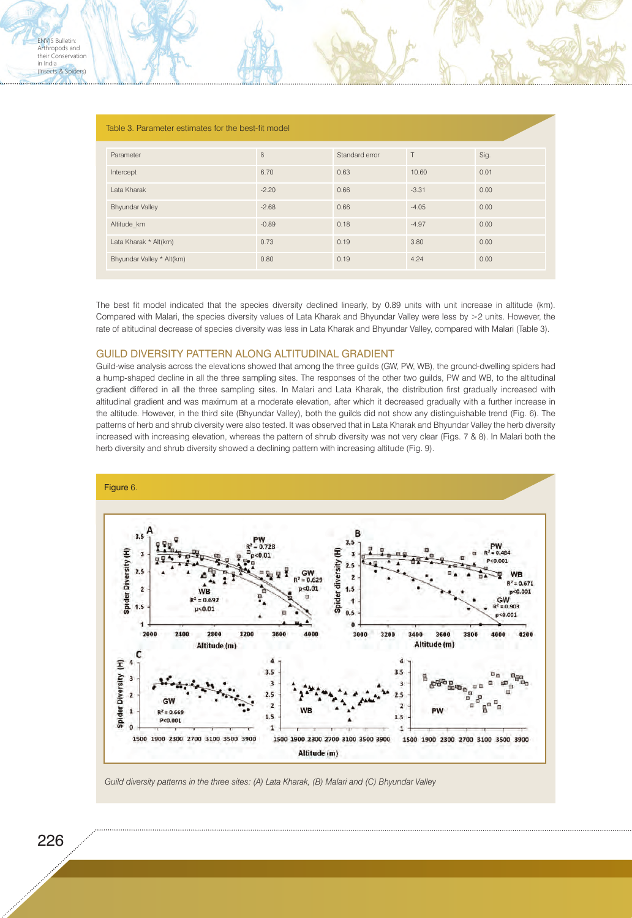. . <del>. . . . . . . . . . . .</del> . .

| Table 3. Parameter estimates for the best-fit model |         |                |         |      |  |  |  |
|-----------------------------------------------------|---------|----------------|---------|------|--|--|--|
| Parameter                                           | $\beta$ | Standard error | T       | Sig. |  |  |  |
| Intercept                                           | 6.70    | 0.63           | 10.60   | 0.01 |  |  |  |
| Lata Kharak                                         | $-2.20$ | 0.66           | $-3.31$ | 0.00 |  |  |  |
| <b>Bhyundar Valley</b>                              | $-2.68$ | 0.66           | $-4.05$ | 0.00 |  |  |  |
| Altitude km                                         | $-0.89$ | 0.18           | $-4.97$ | 0.00 |  |  |  |
| Lata Kharak * Alt(km)                               | 0.73    | 0.19           | 3.80    | 0.00 |  |  |  |
| Bhyundar Valley * Alt(km)                           | 0.80    | 0.19           | 4.24    | 0.00 |  |  |  |

The best fit model indicated that the species diversity declined linearly, by 0.89 units with unit increase in altitude (km). Compared with Malari, the species diversity values of Lata Kharak and Bhyundar Valley were less by >2 units. However, the rate of altitudinal decrease of species diversity was less in Lata Kharak and Bhyundar Valley, compared with Malari (Table 3).

## GUILD DIVERSITY PATTERN ALONG ALTITUDINAL GRADIENT

Guild-wise analysis across the elevations showed that among the three guilds (GW, PW, WB), the ground-dwelling spiders had a hump-shaped decline in all the three sampling sites. The responses of the other two guilds, PW and WB, to the altitudinal gradient differed in all the three sampling sites. In Malari and Lata Kharak, the distribution first gradually increased with altitudinal gradient and was maximum at a moderate elevation, after which it decreased gradually with a further increase in the altitude. However, in the third site (Bhyundar Valley), both the guilds did not show any distinguishable trend (Fig. 6). The patterns of herb and shrub diversity were also tested. It was observed that in Lata Kharak and Bhyundar Valley the herb diversity increased with increasing elevation, whereas the pattern of shrub diversity was not very clear (Figs. 7 & 8). In Malari both the herb diversity and shrub diversity showed a declining pattern with increasing altitude (Fig. 9).



*Guild diversity patterns in the three sites: (A) Lata Kharak, (B) Malari and (C) Bhyundar Valley*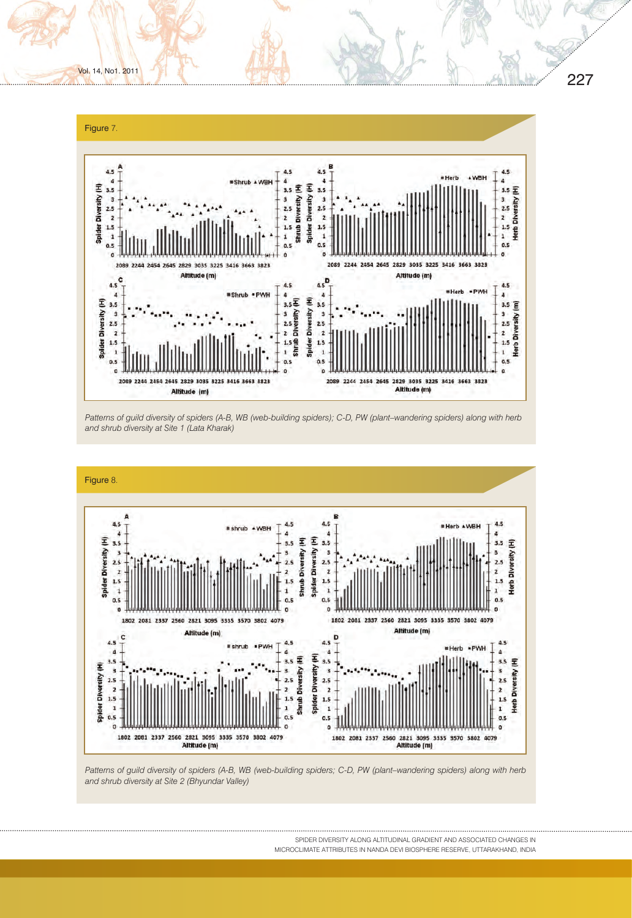

Vol. 14, No1. 2011

. . . . . . . . . . . . .

. . . . . . <del>. . . . . . . . . . . .</del> .

*Patterns of guild diversity of spiders (A-B, WB (web-building spiders); C-D, PW (plant–wandering spiders) along with herb and shrub diversity at Site 1 (Lata Kharak)*



*Patterns of guild diversity of spiders (A-B, WB (web-building spiders; C-D, PW (plant–wandering spiders) along with herb and shrub diversity at Site 2 (Bhyundar Valley)*

SPIDER DIVERSITY ALONG ALTITUDINAL GRADIENT AND ASSOCIATED CHANGES IN MICROCLIMATE ATTRIBUTES IN NANDA DEVI BIOSPHERE RESERVE, UTTARAKHAND, INDIA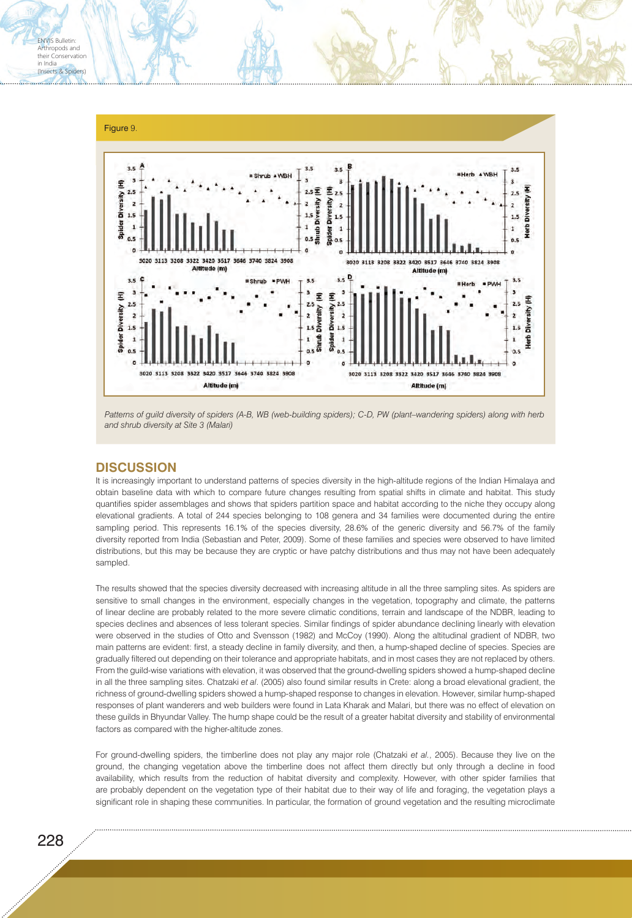

Patterns of guild diversity of spiders (A-B, WB (web-building spiders); C-D, PW (plant–wandering spiders) along with herb *and shrub diversity at Site 3 (Malari)*

# **DISCUSSION**

It is increasingly important to understand patterns of species diversity in the high-altitude regions of the Indian Himalaya and obtain baseline data with which to compare future changes resulting from spatial shifts in climate and habitat. This study quantifies spider assemblages and shows that spiders partition space and habitat according to the niche they occupy along elevational gradients. A total of 244 species belonging to 108 genera and 34 families were documented during the entire sampling period. This represents 16.1% of the species diversity, 28.6% of the generic diversity and 56.7% of the family diversity reported from India (Sebastian and Peter, 2009). Some of these families and species were observed to have limited distributions, but this may be because they are cryptic or have patchy distributions and thus may not have been adequately sampled.

The results showed that the species diversity decreased with increasing altitude in all the three sampling sites. As spiders are sensitive to small changes in the environment, especially changes in the vegetation, topography and climate, the patterns of linear decline are probably related to the more severe climatic conditions, terrain and landscape of the NDBR, leading to species declines and absences of less tolerant species. Similar findings of spider abundance declining linearly with elevation were observed in the studies of Otto and Svensson (1982) and McCoy (1990). Along the altitudinal gradient of NDBR, two main patterns are evident: first, a steady decline in family diversity, and then, a hump-shaped decline of species. Species are gradually filtered out depending on their tolerance and appropriate habitats, and in most cases they are not replaced by others. From the guild-wise variations with elevation, it was observed that the ground-dwelling spiders showed a hump-shaped decline in all the three sampling sites. Chatzaki *et al*. (2005) also found similar results in Crete: along a broad elevational gradient, the richness of ground-dwelling spiders showed a hump-shaped response to changes in elevation. However, similar hump-shaped responses of plant wanderers and web builders were found in Lata Kharak and Malari, but there was no effect of elevation on these guilds in Bhyundar Valley. The hump shape could be the result of a greater habitat diversity and stability of environmental factors as compared with the higher-altitude zones.

For ground-dwelling spiders, the timberline does not play any major role (Chatzaki *et al.*, 2005). Because they live on the ground, the changing vegetation above the timberline does not affect them directly but only through a decline in food availability, which results from the reduction of habitat diversity and complexity. However, with other spider families that are probably dependent on the vegetation type of their habitat due to their way of life and foraging, the vegetation plays a significant role in shaping these communities. In particular, the formation of ground vegetation and the resulting microclimate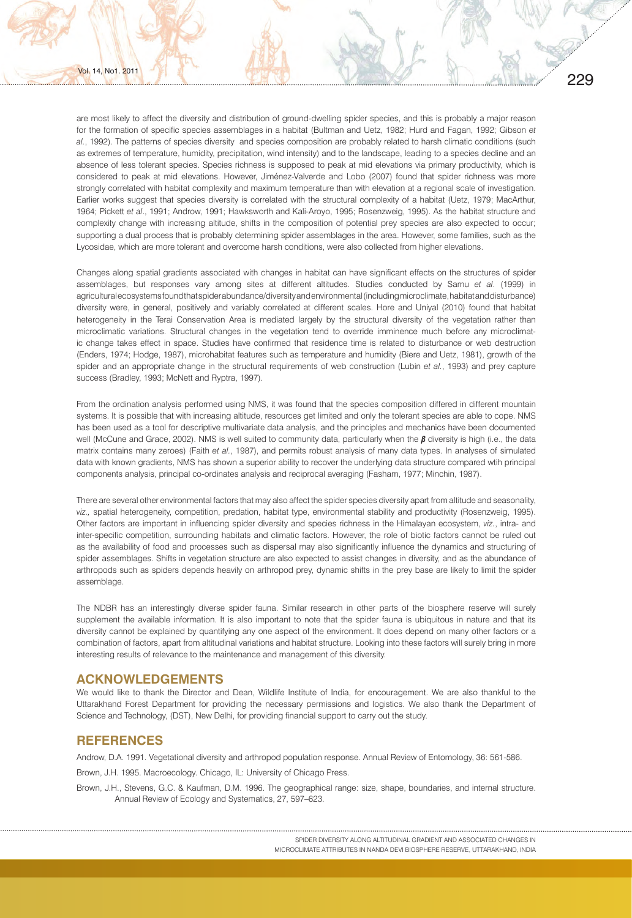are most likely to affect the diversity and distribution of ground-dwelling spider species, and this is probably a major reason for the formation of specific species assemblages in a habitat (Bultman and Uetz, 1982; Hurd and Fagan, 1992; Gibson *et al.*, 1992). The patterns of species diversity and species composition are probably related to harsh climatic conditions (such as extremes of temperature, humidity, precipitation, wind intensity) and to the landscape, leading to a species decline and an absence of less tolerant species. Species richness is supposed to peak at mid elevations via primary productivity, which is considered to peak at mid elevations. However, Jiménez-Valverde and Lobo (2007) found that spider richness was more strongly correlated with habitat complexity and maximum temperature than with elevation at a regional scale of investigation. Earlier works suggest that species diversity is correlated with the structural complexity of a habitat (Uetz, 1979; MacArthur, 1964; Pickett *et al*., 1991; Androw, 1991; Hawksworth and Kali-Aroyo, 1995; Rosenzweig, 1995). As the habitat structure and complexity change with increasing altitude, shifts in the composition of potential prey species are also expected to occur; supporting a dual process that is probably determining spider assemblages in the area. However, some families, such as the Lycosidae, which are more tolerant and overcome harsh conditions, were also collected from higher elevations.

Changes along spatial gradients associated with changes in habitat can have significant effects on the structures of spider assemblages, but responses vary among sites at different altitudes. Studies conducted by Samu *et al*. (1999) in agricultural ecosystems found that spider abundance/diversity and environmental (including microclimate, habitat and disturbance) diversity were, in general, positively and variably correlated at different scales. Hore and Uniyal (2010) found that habitat heterogeneity in the Terai Conservation Area is mediated largely by the structural diversity of the vegetation rather than microclimatic variations. Structural changes in the vegetation tend to override imminence much before any microclimatic change takes effect in space. Studies have confirmed that residence time is related to disturbance or web destruction (Enders, 1974; Hodge, 1987), microhabitat features such as temperature and humidity (Biere and Uetz, 1981), growth of the spider and an appropriate change in the structural requirements of web construction (Lubin *et al.*, 1993) and prey capture success (Bradley, 1993; McNett and Ryptra, 1997).

From the ordination analysis performed using NMS, it was found that the species composition differed in different mountain systems. It is possible that with increasing altitude, resources get limited and only the tolerant species are able to cope. NMS has been used as a tool for descriptive multivariate data analysis, and the principles and mechanics have been documented well (McCune and Grace, 2002). NMS is well suited to community data, particularly when the *β* diversity is high (i.e., the data matrix contains many zeroes) (Faith *et al.*, 1987), and permits robust analysis of many data types. In analyses of simulated data with known gradients, NMS has shown a superior ability to recover the underlying data structure compared wtih principal components analysis, principal co-ordinates analysis and reciprocal averaging (Fasham, 1977; Minchin, 1987).

There are several other environmental factors that may also affect the spider species diversity apart from altitude and seasonality, *viz.,* spatial heterogeneity, competition, predation, habitat type, environmental stability and productivity (Rosenzweig, 1995). Other factors are important in influencing spider diversity and species richness in the Himalayan ecosystem, *viz.*, intra- and inter-specific competition, surrounding habitats and climatic factors. However, the role of biotic factors cannot be ruled out as the availability of food and processes such as dispersal may also significantly influence the dynamics and structuring of spider assemblages. Shifts in vegetation structure are also expected to assist changes in diversity, and as the abundance of arthropods such as spiders depends heavily on arthropod prey, dynamic shifts in the prey base are likely to limit the spider assemblage.

The NDBR has an interestingly diverse spider fauna. Similar research in other parts of the biosphere reserve will surely supplement the available information. It is also important to note that the spider fauna is ubiquitous in nature and that its diversity cannot be explained by quantifying any one aspect of the environment. It does depend on many other factors or a combination of factors, apart from altitudinal variations and habitat structure. Looking into these factors will surely bring in more interesting results of relevance to the maintenance and management of this diversity.

## **ACKNOWLEDGEMENTS**

We would like to thank the Director and Dean, Wildlife Institute of India, for encouragement. We are also thankful to the Uttarakhand Forest Department for providing the necessary permissions and logistics. We also thank the Department of Science and Technology, (DST), New Delhi, for providing financial support to carry out the study.

# **REFERENCES**

Androw, D.A. 1991. Vegetational diversity and arthropod population response. Annual Review of Entomology, 36: 561-586.

Brown, J.H. 1995. Macroecology. Chicago, IL: University of Chicago Press.

Brown, J.H., Stevens, G.C. & Kaufman, D.M. 1996. The geographical range: size, shape, boundaries, and internal structure. Annual Review of Ecology and Systematics, 27, 597–623.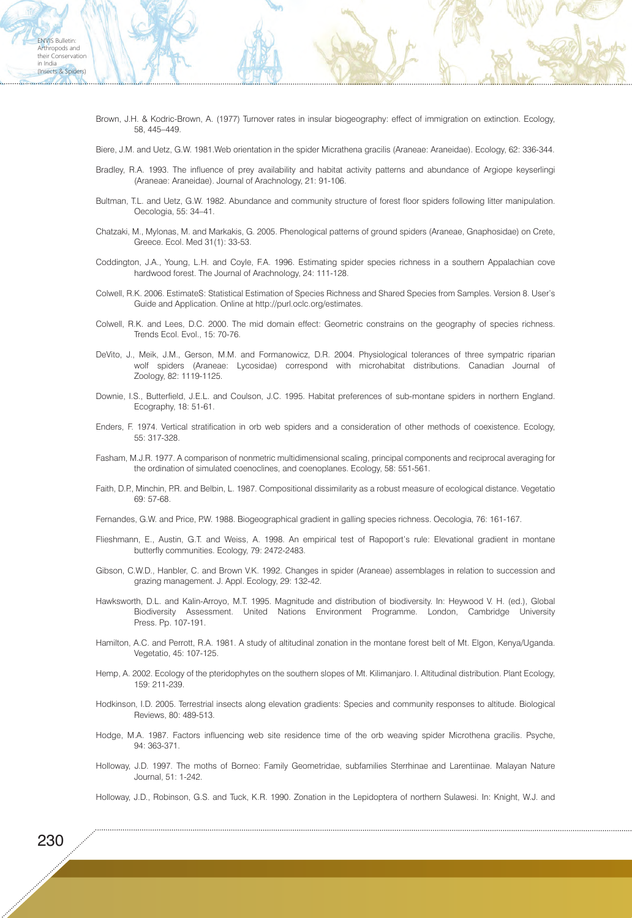Brown, J.H. & Kodric-Brown, A. (1977) Turnover rates in insular biogeography: effect of immigration on extinction. Ecology, 58, 445–449.

Biere, J.M. and Uetz, G.W. 1981.Web orientation in the spider Micrathena gracilis (Araneae: Araneidae). Ecology, 62: 336-344.

- Bradley, R.A. 1993. The influence of prey availability and habitat activity patterns and abundance of Argiope keyserlingi (Araneae: Araneidae). Journal of Arachnology, 21: 91-106.
- Bultman, T.L. and Uetz, G.W. 1982. Abundance and community structure of forest floor spiders following litter manipulation. Oecologia, 55: 34–41.
- Chatzaki, M., Mylonas, M. and Markakis, G. 2005. Phenological patterns of ground spiders (Araneae, Gnaphosidae) on Crete, Greece. Ecol. Med 31(1): 33-53.
- Coddington, J.A., Young, L.H. and Coyle, F.A. 1996. Estimating spider species richness in a southern Appalachian cove hardwood forest. The Journal of Arachnology, 24: 111-128.
- Colwell, R.K. 2006. EstimateS: Statistical Estimation of Species Richness and Shared Species from Samples. Version 8. User's Guide and Application. Online at http://purl.oclc.org/estimates.
- Colwell, R.K. and Lees, D.C. 2000. The mid domain effect: Geometric constrains on the geography of species richness. Trends Ecol. Evol., 15: 70-76.
- DeVito, J., Meik, J.M., Gerson, M.M. and Formanowicz, D.R. 2004. Physiological tolerances of three sympatric riparian wolf spiders (Araneae: Lycosidae) correspond with microhabitat distributions. Canadian Journal of Zoology, 82: 1119-1125.
- Downie, I.S., Butterfield, J.E.L. and Coulson, J.C. 1995. Habitat preferences of sub-montane spiders in northern England. Ecography, 18: 51-61.
- Enders, F. 1974. Vertical stratification in orb web spiders and a consideration of other methods of coexistence. Ecology, 55: 317-328.
- Fasham, M.J.R. 1977. A comparison of nonmetric multidimensional scaling, principal components and reciprocal averaging for the ordination of simulated coenoclines, and coenoplanes. Ecology, 58: 551-561.
- Faith, D.P., Minchin, P.R. and Belbin, L. 1987. Compositional dissimilarity as a robust measure of ecological distance. Vegetatio 69: 57-68.
- Fernandes, G.W. and Price, P.W. 1988. Biogeographical gradient in galling species richness. Oecologia, 76: 161-167.
- Flieshmann, E., Austin, G.T. and Weiss, A. 1998. An empirical test of Rapoport's rule: Elevational gradient in montane butterfly communities. Ecology, 79: 2472-2483.
- Gibson, C.W.D., Hanbler, C. and Brown V.K. 1992. Changes in spider (Araneae) assemblages in relation to succession and grazing management. J. Appl. Ecology, 29: 132-42.
- Hawksworth, D.L. and Kalin-Arroyo, M.T. 1995. Magnitude and distribution of biodiversity. In: Heywood V. H. (ed.), Global Biodiversity Assessment. United Nations Environment Programme. London, Cambridge University Press. Pp. 107-191.
- Hamilton, A.C. and Perrott, R.A. 1981. A study of altitudinal zonation in the montane forest belt of Mt. Elgon, Kenya/Uganda. Vegetatio, 45: 107-125.
- Hemp, A. 2002. Ecology of the pteridophytes on the southern slopes of Mt. Kilimanjaro. I. Altitudinal distribution. Plant Ecology, 159: 211-239.
- Hodkinson, I.D. 2005. Terrestrial insects along elevation gradients: Species and community responses to altitude. Biological Reviews, 80: 489-513.
- Hodge, M.A. 1987. Factors influencing web site residence time of the orb weaving spider Microthena gracilis. Psyche, 94: 363-371.
- Holloway, J.D. 1997. The moths of Borneo: Family Geometridae, subfamilies Sterrhinae and Larentiinae. Malayan Nature Journal, 51: 1-242.
- Holloway, J.D., Robinson, G.S. and Tuck, K.R. 1990. Zonation in the Lepidoptera of northern Sulawesi. In: Knight, W.J. and

ENVIS Bulletin: Arthropods and their Conservation in India (Insects & Spiders)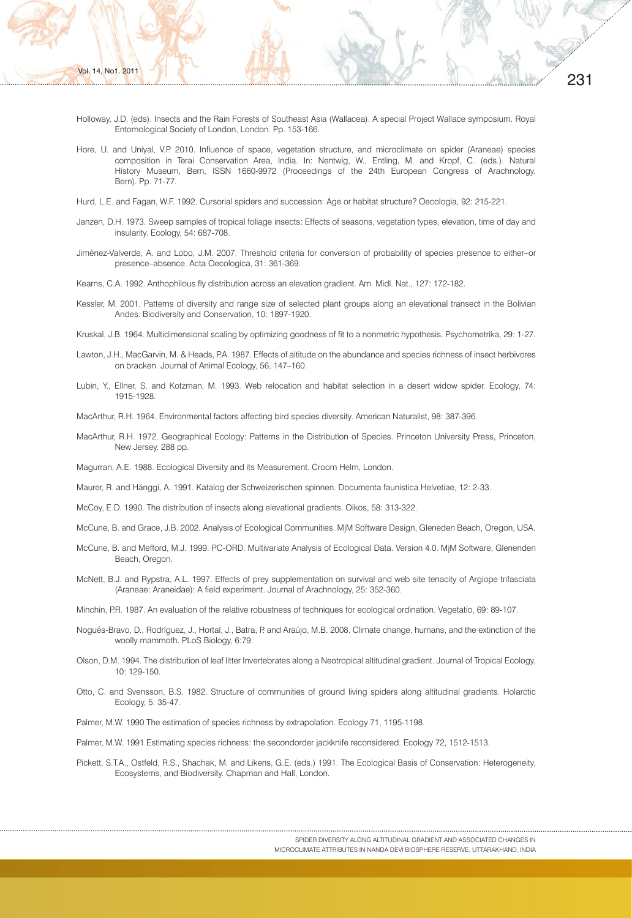Holloway, J.D. (eds). Insects and the Rain Forests of Southeast Asia (Wallacea). A special Project Wallace symposium. Royal Entomological Society of London, London. Pp. 153-166.

231

- Hore, U. and Uniyal, V.P. 2010. Influence of space, vegetation structure, and microclimate on spider (Araneae) species composition in Terai Conservation Area, India. In: Nentwig, W., Entling, M. and Kropf, C. (eds.). Natural History Museum, Bern, ISSN 1660-9972 (Proceedings of the 24th European Congress of Arachnology, Bern). Pp. 71-77.
- Hurd, L.E. and Fagan, W.F. 1992. Cursorial spiders and succession: Age or habitat structure? Oecologia, 92: 215-221.
- Janzen, D.H. 1973. Sweep samples of tropical foliage insects: Effects of seasons, vegetation types, elevation, time of day and insularity. Ecology, 54: 687-708.
- Jiménez-Valverde, A. and Lobo, J.M. 2007. Threshold criteria for conversion of probability of species presence to either–or presence–absence. Acta Oecologica, 31: 361-369.
- Kearns, C.A. 1992. Anthophilous fly distribution across an elevation gradient. Am. Midl. Nat., 127: 172-182.
- Kessler, M. 2001. Patterns of diversity and range size of selected plant groups along an elevational transect in the Bolivian Andes. Biodiversity and Conservation, 10: 1897-1920.
- Kruskal, J.B. 1964. Multidimensional scaling by optimizing goodness of fit to a nonmetric hypothesis. Psychometrika, 29: 1-27.
- Lawton, J.H., MacGarvin, M. & Heads, P.A. 1987. Effects of altitude on the abundance and species richness of insect herbivores on bracken. Journal of Animal Ecology, 56, 147–160.
- Lubin, Y., Ellner, S. and Kotzman, M. 1993. Web relocation and habitat selection in a desert widow spider. Ecology, 74: 1915-1928.
- MacArthur, R.H. 1964. Environmental factors affecting bird species diversity. American Naturalist, 98: 387-396.
- MacArthur, R.H. 1972. Geographical Ecology: Patterns in the Distribution of Species. Princeton University Press, Princeton, New Jersey. 288 pp.

Magurran, A.E. 1988. Ecological Diversity and its Measurement. Croom Helm, London.

Maurer, R. and Hänggi, A. 1991. Katalog der Schweizerischen spinnen. Documenta faunistica Helvetiae, 12: 2-33.

- McCoy, E.D. 1990. The distribution of insects along elevational gradients. Oikos, 58: 313-322.
- McCune, B. and Grace, J.B. 2002. Analysis of Ecological Communities. MjM Software Design, Gleneden Beach, Oregon, USA.
- McCune, B. and Mefford, M.J. 1999. PC-ORD. Multivariate Analysis of Ecological Data. Version 4.0. MjM Software, Glenenden Beach, Oregon.
- McNett, B.J. and Rypstra, A.L. 1997. Effects of prey supplementation on survival and web site tenacity of Argiope trifasciata (Araneae: Araneidae): A field experiment. Journal of Arachnology, 25: 352-360.

Minchin, P.R. 1987. An evaluation of the relative robustness of techniques for ecological ordination. Vegetatio, 69: 89-107.

- Nogués-Bravo, D., Rodríguez, J., Hortal, J., Batra, P. and Araújo, M.B. 2008. Climate change, humans, and the extinction of the woolly mammoth. PLoS Biology, 6:79.
- Olson, D.M. 1994. The distribution of leaf litter Invertebrates along a Neotropical altitudinal gradient. Journal of Tropical Ecology, 10: 129-150.
- Otto, C. and Svensson, B.S. 1982. Structure of communities of ground living spiders along altitudinal gradients. Holarctic Ecology, 5: 35-47.

Palmer, M.W. 1990 The estimation of species richness by extrapolation. Ecology 71, 1195-1198.

Palmer, M.W. 1991 Estimating species richness: the secondorder jackknife reconsidered. Ecology 72, 1512-1513.

Pickett, S.T.A., Ostfeld, R.S., Shachak, M. and Likens, G.E. (eds.) 1991. The Ecological Basis of Conservation: Heterogeneity, Ecosystems, and Biodiversity. Chapman and Hall, London.